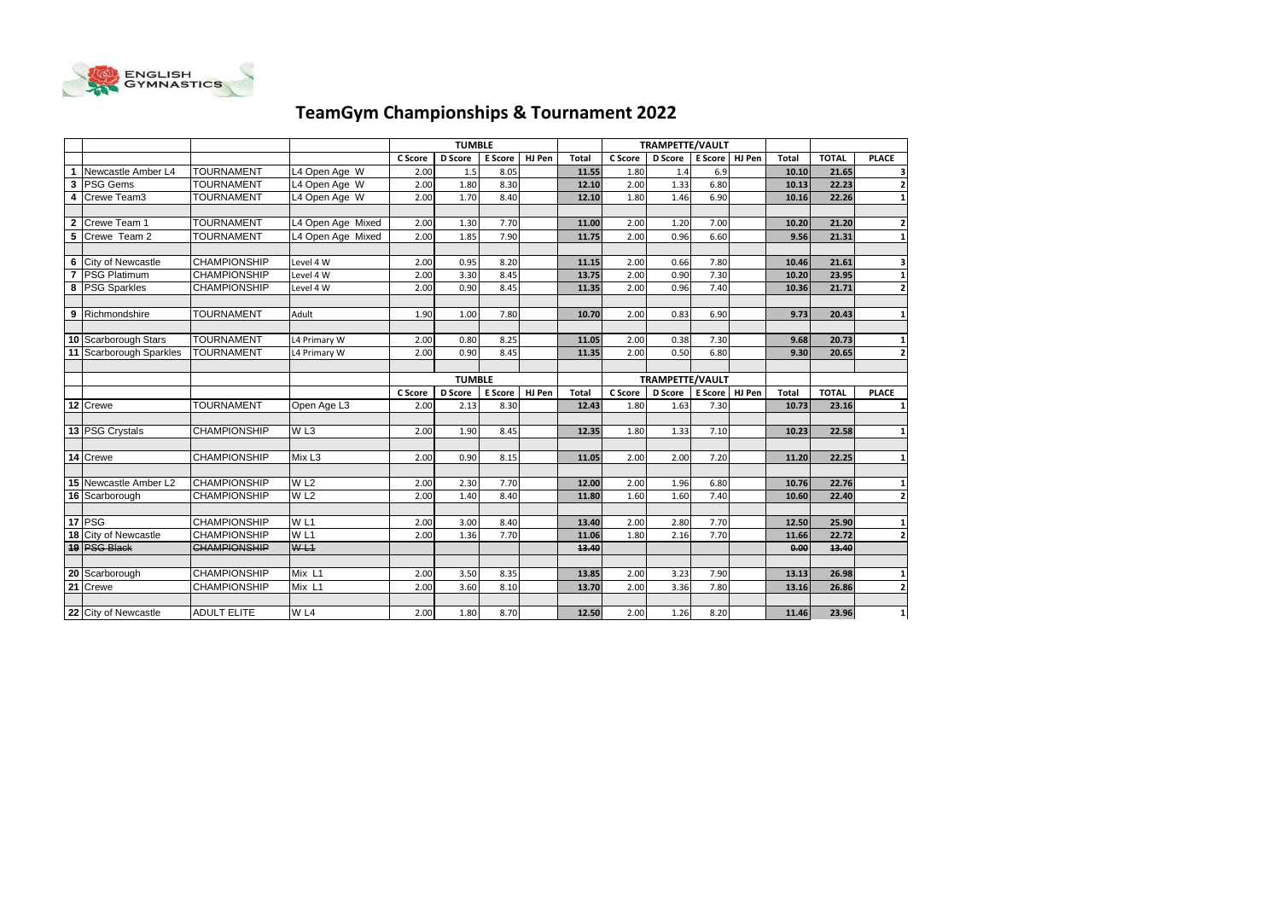

## **TeamGym Championships & Tournament 2022**

|   |                          |                     |                    |         | <b>TUMBLE</b>  |                |        |              |         | <b>TRAMPETTE/VAULT</b> |                |        |              |              |                                                                                                                                                                   |
|---|--------------------------|---------------------|--------------------|---------|----------------|----------------|--------|--------------|---------|------------------------|----------------|--------|--------------|--------------|-------------------------------------------------------------------------------------------------------------------------------------------------------------------|
|   |                          |                     |                    | C Score | <b>D</b> Score | <b>E</b> Score | HJ Pen | Total        | C Score | <b>D</b> Score         | <b>E</b> Score | HJ Pen | <b>Total</b> | <b>TOTAL</b> | <b>PLACE</b>                                                                                                                                                      |
|   | Newcastle Amber L4       | <b>TOURNAMENT</b>   | L4 Open Age W      | 2.00    | 1.5            | 8.05           |        | 11.55        | 1.80    | 1.4                    | 6.9            |        | 10.10        | 21.65        | 3                                                                                                                                                                 |
| 3 | <b>PSG Gems</b>          | <b>TOURNAMENT</b>   | L4 Open Age W      | 2.00    | 1.80           | 8.30           |        | 12.10        | 2.00    | 1.33                   | 6.80           |        | 10.13        | 22.23        | $\overline{\mathbf{2}}$                                                                                                                                           |
|   | Crewe Team3              | <b>TOURNAMENT</b>   | L4 Open Age W      | 2.00    | 1.70           | 8.40           |        | 12.10        | 1.80    | 1.46                   | 6.90           |        | 10.16        | 22.26        | $\mathbf{1}$                                                                                                                                                      |
|   |                          |                     |                    |         |                |                |        |              |         |                        |                |        |              |              |                                                                                                                                                                   |
| 2 | Crewe Team 1             | <b>TOURNAMENT</b>   | L4 Open Age Mixed  | 2.00    | 1.30           | 7.70           |        | 11.00        | 2.00    | 1.20                   | 7.00           |        | 10.20        | 21.20        | $\overline{\mathbf{2}}$                                                                                                                                           |
| 5 | Crewe Team 2             | <b>TOURNAMENT</b>   | L4 Open Age Mixed  | 2.00    | 1.85           | 7.90           |        | 11.75        | 2.00    | 0.96                   | 6.60           |        | 9.56         | 21.31        | 1                                                                                                                                                                 |
|   |                          |                     |                    |         |                |                |        |              |         |                        |                |        |              |              |                                                                                                                                                                   |
| 6 | <b>City of Newcastle</b> | <b>CHAMPIONSHIP</b> | Level 4 W          | 2.00    | 0.95           | 8.20           |        | 11.15        | 2.00    | 0.66                   | 7.80           |        | 10.46        | 21.61        | 3                                                                                                                                                                 |
|   | <b>PSG Platimum</b>      | <b>CHAMPIONSHIP</b> | Level 4 W          | 2.00    | 3.30           | 8.45           |        | 13.75        | 2.00    | 0.90                   | 7.30           |        | 10.20        | 23.95        | 1                                                                                                                                                                 |
| 8 | <b>PSG Sparkles</b>      | <b>CHAMPIONSHIP</b> | Level 4 W          | 2.00    | 0.90           | 8.45           |        | 11.35        | 2.00    | 0.96                   | 7.40           |        | 10.36        | 21.71        | $\overline{\mathbf{2}}$                                                                                                                                           |
|   |                          |                     |                    |         |                |                |        |              |         |                        |                |        |              |              |                                                                                                                                                                   |
| 9 | Richmondshire            | <b>TOURNAMENT</b>   | Adult              | 1.90    | 1.00           | 7.80           |        | 10.70        | 2.00    | 0.83                   | 6.90           |        | 9.73         | 20.43        | $\mathbf{1}$                                                                                                                                                      |
|   |                          |                     |                    |         |                |                |        |              |         |                        |                |        |              |              |                                                                                                                                                                   |
|   | 10 Scarborough Stars     | <b>TOURNAMENT</b>   | L4 Primary W       | 2.00    | 0.80           | 8.25           |        | 11.05        | 2.00    | 0.38                   | 7.30           |        | 9.68         | 20.73        | 1                                                                                                                                                                 |
|   | 11 Scarborough Sparkles  | <b>TOURNAMENT</b>   | L4 Primary W       | 2.00    | 0.90           | 8.45           |        | 11.35        | 2.00    | 0.50                   | 6.80           |        | 9.30         | 20.65        | $\overline{\mathbf{2}}$                                                                                                                                           |
|   |                          |                     |                    |         |                |                |        |              |         |                        |                |        |              |              |                                                                                                                                                                   |
|   |                          |                     |                    |         | <b>TUMBLE</b>  |                |        |              |         | <b>TRAMPETTE/VAULT</b> |                |        |              |              |                                                                                                                                                                   |
|   |                          |                     |                    |         |                |                |        |              |         |                        |                |        |              |              |                                                                                                                                                                   |
|   |                          |                     |                    | C Score | <b>D</b> Score | <b>E</b> Score | HJ Pen | <b>Total</b> | C Score | <b>D</b> Score         | E Score        | HJ Pen | <b>Total</b> | <b>TOTAL</b> | <b>PLACE</b>                                                                                                                                                      |
|   | 12 Crewe                 | <b>TOURNAMENT</b>   | Open Age L3        | 2.00    | 2.13           | 8.30           |        | 12.43        | 1.80    | 1.63                   | 7.30           |        | 10.73        | 23.16        |                                                                                                                                                                   |
|   |                          |                     |                    |         |                |                |        |              |         |                        |                |        |              |              |                                                                                                                                                                   |
|   | 13 PSG Crystals          | <b>CHAMPIONSHIP</b> | WL3                | 2.00    | 1.90           | 8.45           |        | 12.35        | 1.80    | 1.33                   | 7.10           |        | 10.23        | 22.58        |                                                                                                                                                                   |
|   |                          |                     |                    |         |                |                |        |              |         |                        |                |        |              |              |                                                                                                                                                                   |
|   | 14 Crewe                 | <b>CHAMPIONSHIP</b> | Mix L <sub>3</sub> | 2.00    | 0.90           | 8.15           |        | 11.05        | 2.00    | 2.00                   | 7.20           |        | 11.20        | 22.25        |                                                                                                                                                                   |
|   |                          |                     |                    |         |                |                |        |              |         |                        |                |        |              |              |                                                                                                                                                                   |
|   | 15 Newcastle Amber L2    | <b>CHAMPIONSHIP</b> | W <sub>L2</sub>    | 2.00    | 2.30           | 7.70           |        | 12.00        | 2.00    | 1.96                   | 6.80           |        | 10.76        | 22.76        |                                                                                                                                                                   |
|   | 16 Scarborough           | <b>CHAMPIONSHIP</b> | W <sub>L2</sub>    | 2.00    | 1.40           | 8.40           |        | 11.80        | 1.60    | 1.60                   | 7.40           |        | 10.60        | 22.40        |                                                                                                                                                                   |
|   |                          |                     |                    |         |                |                |        |              |         |                        |                |        |              |              |                                                                                                                                                                   |
|   | 17 PSG                   | <b>CHAMPIONSHIP</b> | W <sub>L1</sub>    | 2.00    | 3.00           | 8.40           |        | 13.40        | 2.00    | 2.80                   | 7.70           |        | 12.50        | 25.90        |                                                                                                                                                                   |
|   | 18 City of Newcastle     | <b>CHAMPIONSHIP</b> | W <sub>L1</sub>    | 2.00    | 1.36           | 7.70           |        | 11.06        | 1.80    | 2.16                   | 7.70           |        | 11.66        | 22.72        |                                                                                                                                                                   |
|   | <b>19 PSG Black</b>      | <b>CHAMPIONSHIP</b> | WL1                |         |                |                |        | 13.40        |         |                        |                |        | 0.00         | 13.40        |                                                                                                                                                                   |
|   |                          |                     |                    |         |                |                |        |              |         |                        |                |        |              |              |                                                                                                                                                                   |
|   | 20 Scarborough           | <b>CHAMPIONSHIP</b> | Mix L1             | 2.00    | 3.50           | 8.35           |        | 13.85        | 2.00    | 3.23                   | 7.90           |        | 13.13        | 26.98        |                                                                                                                                                                   |
|   | 21 Crewe                 | <b>CHAMPIONSHIP</b> | Mix L1             | 2.00    | 3.60           | 8.10           |        | 13.70        | 2.00    | 3.36                   | 7.80           |        | 13.16        | 26.86        |                                                                                                                                                                   |
|   | 22 City of Newcastle     | <b>ADULT ELITE</b>  | W <sub>L4</sub>    |         |                |                |        |              |         |                        | 8.20           |        |              |              | $\mathbf 1$<br>$\mathbf{1}$<br>$\mathbf{1}$<br>$\mathbf{1}$<br>$\overline{\mathbf{2}}$<br>$\mathbf{1}$<br>$\overline{\mathbf{2}}$<br>1<br>$\overline{\mathbf{2}}$ |